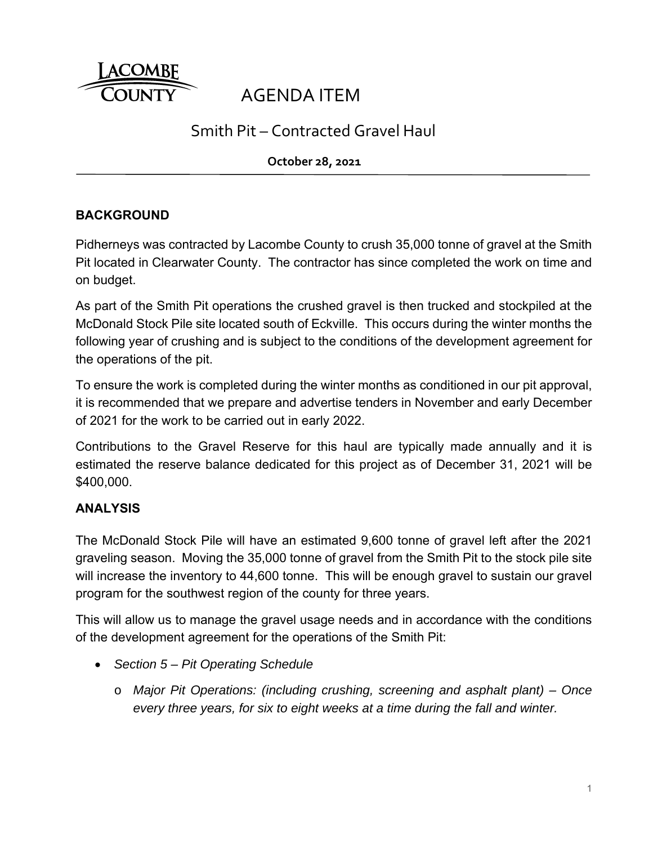

# AGENDA ITEM

## Smith Pit – Contracted Gravel Haul

**October 28, 2021**

### **BACKGROUND**

Pidherneys was contracted by Lacombe County to crush 35,000 tonne of gravel at the Smith Pit located in Clearwater County. The contractor has since completed the work on time and on budget.

As part of the Smith Pit operations the crushed gravel is then trucked and stockpiled at the McDonald Stock Pile site located south of Eckville. This occurs during the winter months the following year of crushing and is subject to the conditions of the development agreement for the operations of the pit.

To ensure the work is completed during the winter months as conditioned in our pit approval, it is recommended that we prepare and advertise tenders in November and early December of 2021 for the work to be carried out in early 2022.

Contributions to the Gravel Reserve for this haul are typically made annually and it is estimated the reserve balance dedicated for this project as of December 31, 2021 will be \$400,000.

#### **ANALYSIS**

The McDonald Stock Pile will have an estimated 9,600 tonne of gravel left after the 2021 graveling season. Moving the 35,000 tonne of gravel from the Smith Pit to the stock pile site will increase the inventory to 44,600 tonne. This will be enough gravel to sustain our gravel program for the southwest region of the county for three years.

This will allow us to manage the gravel usage needs and in accordance with the conditions of the development agreement for the operations of the Smith Pit:

- *Section 5 Pit Operating Schedule*
	- o *Major Pit Operations: (including crushing, screening and asphalt plant) Once every three years, for six to eight weeks at a time during the fall and winter.*